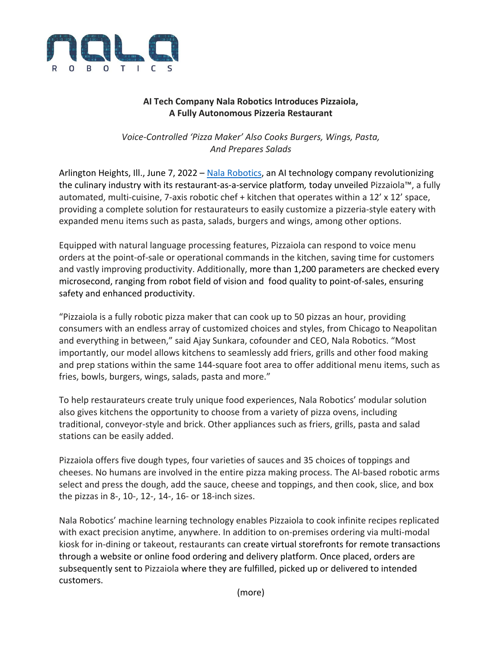

## **AI Tech Company Nala Robotics Introduces Pizzaiola, A Fully Autonomous Pizzeria Restaurant**

*Voice‐Controlled 'Pizza Maker' Also Cooks Burgers, Wings, Pasta, And Prepares Salads*

Arlington Heights, Ill., June 7, 2022 – Nala Robotics, an AI technology company revolutionizing the culinary industry with its restaurant‐as‐a‐service platform*,* today unveiled Pizzaiola™, a fully automated, multi-cuisine, 7-axis robotic chef + kitchen that operates within a 12' x 12' space, providing a complete solution for restaurateurs to easily customize a pizzeria‐style eatery with expanded menu items such as pasta, salads, burgers and wings, among other options.

Equipped with natural language processing features, Pizzaiola can respond to voice menu orders at the point‐of‐sale or operational commands in the kitchen, saving time for customers and vastly improving productivity. Additionally, more than 1,200 parameters are checked every microsecond, ranging from robot field of vision and food quality to point‐of‐sales, ensuring safety and enhanced productivity.

"Pizzaiola is a fully robotic pizza maker that can cook up to 50 pizzas an hour, providing consumers with an endless array of customized choices and styles, from Chicago to Neapolitan and everything in between," said Ajay Sunkara, cofounder and CEO, Nala Robotics. "Most importantly, our model allows kitchens to seamlessly add friers, grills and other food making and prep stations within the same 144‐square foot area to offer additional menu items, such as fries, bowls, burgers, wings, salads, pasta and more."

To help restaurateurs create truly unique food experiences, Nala Robotics' modular solution also gives kitchens the opportunity to choose from a variety of pizza ovens, including traditional, conveyor‐style and brick. Other appliances such as friers, grills, pasta and salad stations can be easily added.

Pizzaiola offers five dough types, four varieties of sauces and 35 choices of toppings and cheeses. No humans are involved in the entire pizza making process. The AI‐based robotic arms select and press the dough, add the sauce, cheese and toppings, and then cook, slice, and box the pizzas in 8‐, 10‐, 12‐, 14‐, 16‐ or 18‐inch sizes.

Nala Robotics' machine learning technology enables Pizzaiola to cook infinite recipes replicated with exact precision anytime, anywhere. In addition to on-premises ordering via multi-modal kiosk for in‐dining or takeout, restaurants can create virtual storefronts for remote transactions through a website or online food ordering and delivery platform. Once placed, orders are subsequently sent to Pizzaiola where they are fulfilled, picked up or delivered to intended customers.